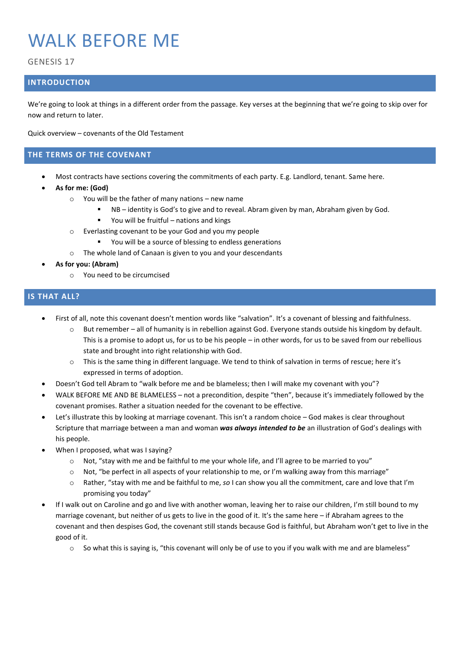# WALK BEFORE ME

GENESIS 17

## **INTRODUCTION**

We're going to look at things in a different order from the passage. Key verses at the beginning that we're going to skip over for now and return to later.

Quick overview – covenants of the Old Testament

### **THE TERMS OF THE COVENANT**

- Most contracts have sections covering the commitments of each party. E.g. Landlord, tenant. Same here.
- **As for me: (God)**
	- o You will be the father of many nations new name
		- NB identity is God's to give and to reveal. Abram given by man, Abraham given by God.
		- You will be fruitful nations and kings
	- o Everlasting covenant to be your God and you my people
		- You will be a source of blessing to endless generations
	- o The whole land of Canaan is given to you and your descendants
- **As for you: (Abram)**
	- o You need to be circumcised

## **IS THAT ALL?**

- First of all, note this covenant doesn't mention words like "salvation". It's a covenant of blessing and faithfulness.
	- o But remember all of humanity is in rebellion against God. Everyone stands outside his kingdom by default. This is a promise to adopt us, for us to be his people – in other words, for us to be saved from our rebellious state and brought into right relationship with God.
	- o This is the same thing in different language. We tend to think of salvation in terms of rescue; here it's expressed in terms of adoption.
- Doesn't God tell Abram to "walk before me and be blameless; then I will make my covenant with you"?
- WALK BEFORE ME AND BE BLAMELESS not a precondition, despite "then", because it's immediately followed by the covenant promises. Rather a situation needed for the covenant to be effective.
- Let's illustrate this by looking at marriage covenant. This isn't a random choice God makes is clear throughout Scripture that marriage between a man and woman *was always intended to be* an illustration of God's dealings with his people.
- When I proposed, what was I saying?
	- $\circ$  Not, "stay with me and be faithful to me your whole life, and I'll agree to be married to you"
	- $\circ$  Not, "be perfect in all aspects of your relationship to me, or I'm walking away from this marriage"
	- o Rather, "stay with me and be faithful to me, *so* I can show you all the commitment, care and love that I'm promising you today"
- If I walk out on Caroline and go and live with another woman, leaving her to raise our children, I'm still bound to my marriage covenant, but neither of us gets to live in the good of it. It's the same here – if Abraham agrees to the covenant and then despises God, the covenant still stands because God is faithful, but Abraham won't get to live in the good of it.
	- $\circ$  So what this is saying is, "this covenant will only be of use to you if you walk with me and are blameless"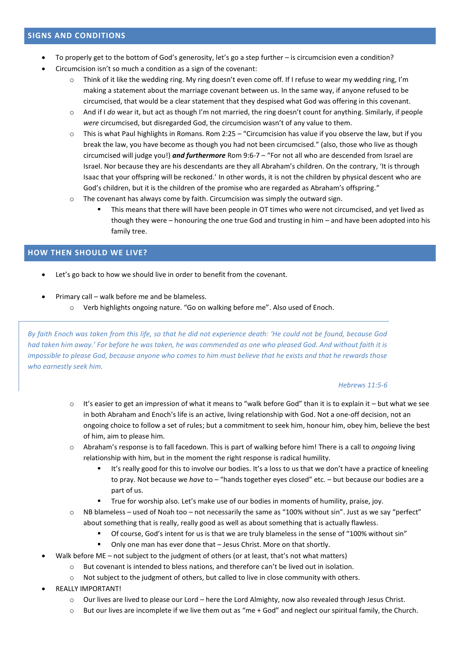- To properly get to the bottom of God's generosity, let's go a step further is circumcision even a condition?
- Circumcision isn't so much a condition as a sign of the covenant:
	- Think of it like the wedding ring. My ring doesn't even come off. If I refuse to wear my wedding ring, I'm making a statement about the marriage covenant between us. In the same way, if anyone refused to be circumcised, that would be a clear statement that they despised what God was offering in this covenant.
	- o And if I *do* wear it, but act as though I'm not married, the ring doesn't count for anything. Similarly, if people *were* circumcised, but disregarded God, the circumcision wasn't of any value to them.
	- $\circ$  This is what Paul highlights in Romans. Rom 2:25 "Circumcision has value if you observe the law, but if you break the law, you have become as though you had not been circumcised." (also, those who live as though circumcised will judge you!) *and furthermore* Rom 9:6-7 – "For not all who are descended from Israel are Israel. Nor because they are his descendants are they all Abraham's children. On the contrary, 'It is through Isaac that your offspring will be reckoned.' In other words, it is not the children by physical descent who are God's children, but it is the children of the promise who are regarded as Abraham's offspring."
	- o The covenant has always come by faith. Circumcision was simply the outward sign.
		- This means that there will have been people in OT times who were not circumcised, and yet lived as though they were – honouring the one true God and trusting in him – and have been adopted into his family tree.

## **HOW THEN SHOULD WE LIVE?**

- Let's go back to how we should live in order to benefit from the covenant.
- Primary call walk before me and be blameless. o Verb highlights ongoing nature. "Go on walking before me". Also used of Enoch.

*By faith Enoch was taken from this life, so that he did not experience death: 'He could not be found, because God had taken him away.' For before he was taken, he was commended as one who pleased God. And without faith it is impossible to please God, because anyone who comes to him must believe that he exists and that he rewards those who earnestly seek him.*

#### *Hebrews 11:5-6*

- $\circ$  It's easier to get an impression of what it means to "walk before God" than it is to explain it but what we see in both Abraham and Enoch's life is an active, living relationship with God. Not a one-off decision, not an ongoing choice to follow a set of rules; but a commitment to seek him, honour him, obey him, believe the best of him, aim to please him.
- o Abraham's response is to fall facedown. This is part of walking before him! There is a call to *ongoing* living relationship with him, but in the moment the right response is radical humility.
	- It's really good for this to involve our bodies. It's a loss to us that we don't have a practice of kneeling to pray. Not because we *have* to – "hands together eyes closed" etc. – but because our bodies are a part of us.
	- True for worship also. Let's make use of our bodies in moments of humility, praise, joy.
- $\circ$  NB blameless used of Noah too not necessarily the same as "100% without sin". Just as we say "perfect" about something that is really, really good as well as about something that is actually flawless.
	- Of course, God's intent for us is that we are truly blameless in the sense of "100% without sin"
	- Only one man has ever done that Jesus Christ. More on that shortly.
- Walk before ME not subject to the judgment of others (or at least, that's not what matters)
	- o But covenant is intended to bless nations, and therefore can't be lived out in isolation.
	- o Not subject to the judgment of others, but called to live in close community with others.
- REALLY IMPORTANT!
	- $\circ$  Our lives are lived to please our Lord here the Lord Almighty, now also revealed through Jesus Christ.
	- o But our lives are incomplete if we live them out as "me + God" and neglect our spiritual family, the Church.